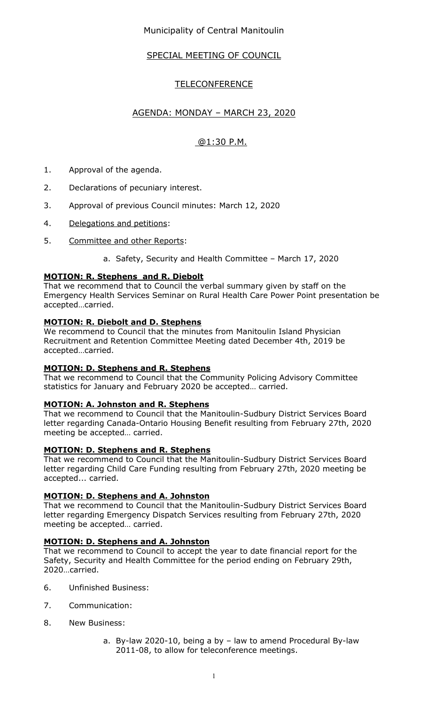## Municipality of Central Manitoulin

## SPECIAL MEETING OF COUNCIL

# **TELECONFERENCE**

## AGENDA: MONDAY – MARCH 23, 2020

## @1:30 P.M.

- 1. Approval of the agenda.
- 2. Declarations of pecuniary interest.
- 3. Approval of previous Council minutes: March 12, 2020
- 4. Delegations and petitions:
- 5. Committee and other Reports:
	- a. Safety, Security and Health Committee March 17, 2020

#### **MOTION: R. Stephens and R. Diebolt**

That we recommend that to Council the verbal summary given by staff on the Emergency Health Services Seminar on Rural Health Care Power Point presentation be accepted…carried.

#### **MOTION: R. Diebolt and D. Stephens**

We recommend to Council that the minutes from Manitoulin Island Physician Recruitment and Retention Committee Meeting dated December 4th, 2019 be accepted…carried.

### **MOTION: D. Stephens and R. Stephens**

That we recommend to Council that the Community Policing Advisory Committee statistics for January and February 2020 be accepted… carried.

### **MOTION: A. Johnston and R. Stephens**

That we recommend to Council that the Manitoulin-Sudbury District Services Board letter regarding Canada-Ontario Housing Benefit resulting from February 27th, 2020 meeting be accepted… carried.

### **MOTION: D. Stephens and R. Stephens**

That we recommend to Council that the Manitoulin-Sudbury District Services Board letter regarding Child Care Funding resulting from February 27th, 2020 meeting be accepted... carried.

### **MOTION: D. Stephens and A. Johnston**

That we recommend to Council that the Manitoulin-Sudbury District Services Board letter regarding Emergency Dispatch Services resulting from February 27th, 2020 meeting be accepted… carried.

### **MOTION: D. Stephens and A. Johnston**

That we recommend to Council to accept the year to date financial report for the Safety, Security and Health Committee for the period ending on February 29th, 2020…carried.

- 6. Unfinished Business:
- 7. Communication:
- 8. New Business:
	- a. By-law 2020-10, being a by law to amend Procedural By-law 2011-08, to allow for teleconference meetings.